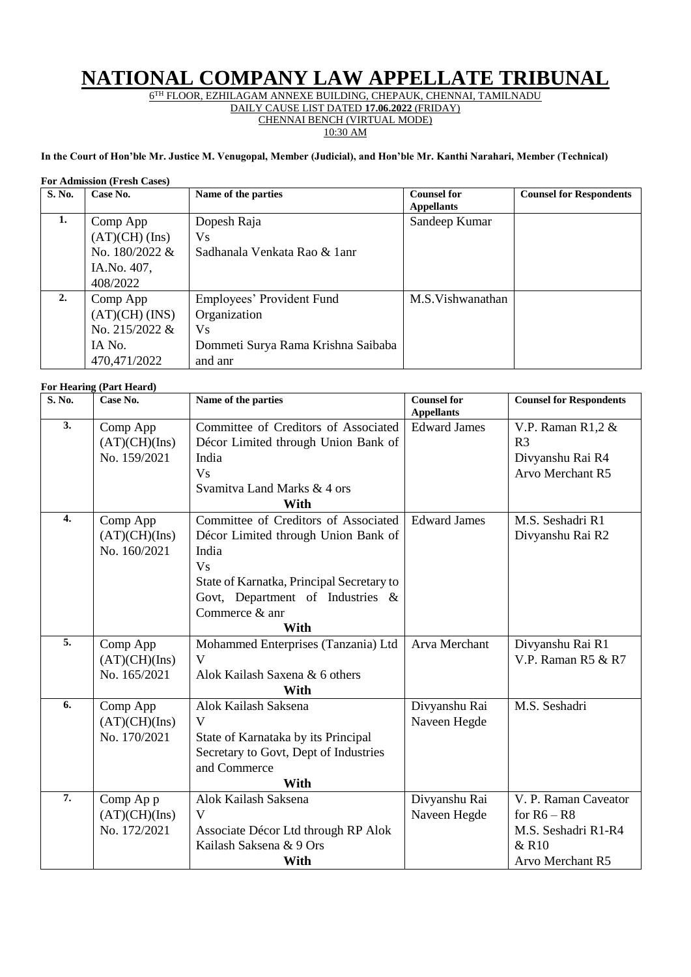## **NATIONAL COMPANY LAW APPELLATE TRIBUNAL**

6 TH FLOOR, EZHILAGAM ANNEXE BUILDING, CHEPAUK, CHENNAI, TAMILNADU

DAILY CAUSE LIST DATED **17.06.2022** (FRIDAY)

CHENNAI BENCH (VIRTUAL MODE)

10:30 AM

## **In the Court of Hon'ble Mr. Justice M. Venugopal, Member (Judicial), and Hon'ble Mr. Kanthi Narahari, Member (Technical)**

|  | <b>For Admission (Fresh Cases)</b> |  |  |
|--|------------------------------------|--|--|
|--|------------------------------------|--|--|

| S. No. | Case No.                                                                 | Name of the parties                                                                               | <b>Counsel for</b><br><b>Appellants</b> | <b>Counsel for Respondents</b> |
|--------|--------------------------------------------------------------------------|---------------------------------------------------------------------------------------------------|-----------------------------------------|--------------------------------|
| 1.     | Comp App<br>$(AT)(CH)$ (Ins)                                             | Dopesh Raja<br>Vs.                                                                                | Sandeep Kumar                           |                                |
|        | No. 180/2022 &<br>IA.No. 407,<br>408/2022                                | Sadhanala Venkata Rao & 1anr                                                                      |                                         |                                |
| 2.     | Comp App<br>$(AT)(CH)$ (INS)<br>No. 215/2022 &<br>IA No.<br>470,471/2022 | Employees' Provident Fund<br>Organization<br>Vs.<br>Dommeti Surya Rama Krishna Saibaba<br>and anr | M.S. Vishwanathan                       |                                |

## **For Hearing (Part Heard)**

| S. No.           | Case No.      | Name of the parties                       | <b>Counsel for</b><br><b>Appellants</b> | <b>Counsel for Respondents</b> |
|------------------|---------------|-------------------------------------------|-----------------------------------------|--------------------------------|
| $\overline{3}$ . | Comp App      | Committee of Creditors of Associated      | <b>Edward James</b>                     | V.P. Raman R1,2 $\&$           |
|                  | (AT)(CH)(Ins) | Décor Limited through Union Bank of       |                                         | R <sub>3</sub>                 |
|                  | No. 159/2021  | India                                     |                                         | Divyanshu Rai R4               |
|                  |               | <b>Vs</b>                                 |                                         | <b>Arvo Merchant R5</b>        |
|                  |               | Svamitva Land Marks & 4 ors               |                                         |                                |
|                  |               | With                                      |                                         |                                |
| $\overline{4}$ . | Comp App      | Committee of Creditors of Associated      | <b>Edward James</b>                     | M.S. Seshadri R1               |
|                  | (AT)(CH)(Ins) | Décor Limited through Union Bank of       |                                         | Divyanshu Rai R2               |
|                  | No. 160/2021  | India                                     |                                         |                                |
|                  |               | <b>Vs</b>                                 |                                         |                                |
|                  |               | State of Karnatka, Principal Secretary to |                                         |                                |
|                  |               | Govt, Department of Industries &          |                                         |                                |
|                  |               | Commerce & anr                            |                                         |                                |
|                  |               | With                                      |                                         |                                |
| $\overline{5}$ . | Comp App      | Mohammed Enterprises (Tanzania) Ltd       | Arva Merchant                           | Divyanshu Rai R1               |
|                  | (AT)(CH)(Ins) | V                                         |                                         | V.P. Raman R5 & R7             |
|                  | No. 165/2021  | Alok Kailash Saxena & 6 others            |                                         |                                |
|                  |               | With                                      |                                         |                                |
| 6.               | Comp App      | Alok Kailash Saksena                      | Divyanshu Rai                           | M.S. Seshadri                  |
|                  | (AT)(CH)(Ins) | V                                         | Naveen Hegde                            |                                |
|                  | No. 170/2021  | State of Karnataka by its Principal       |                                         |                                |
|                  |               | Secretary to Govt, Dept of Industries     |                                         |                                |
|                  |               | and Commerce                              |                                         |                                |
|                  |               | With                                      |                                         |                                |
| $\overline{7}$ . | Comp Ap p     | Alok Kailash Saksena                      | Divyanshu Rai                           | V. P. Raman Caveator           |
|                  | (AT)(CH)(Ins) | V                                         | Naveen Hegde                            | for $R6 - R8$                  |
|                  | No. 172/2021  | Associate Décor Ltd through RP Alok       |                                         | M.S. Seshadri R1-R4            |
|                  |               | Kailash Saksena & 9 Ors                   |                                         | & R10                          |
|                  |               | With                                      |                                         | Arvo Merchant R5               |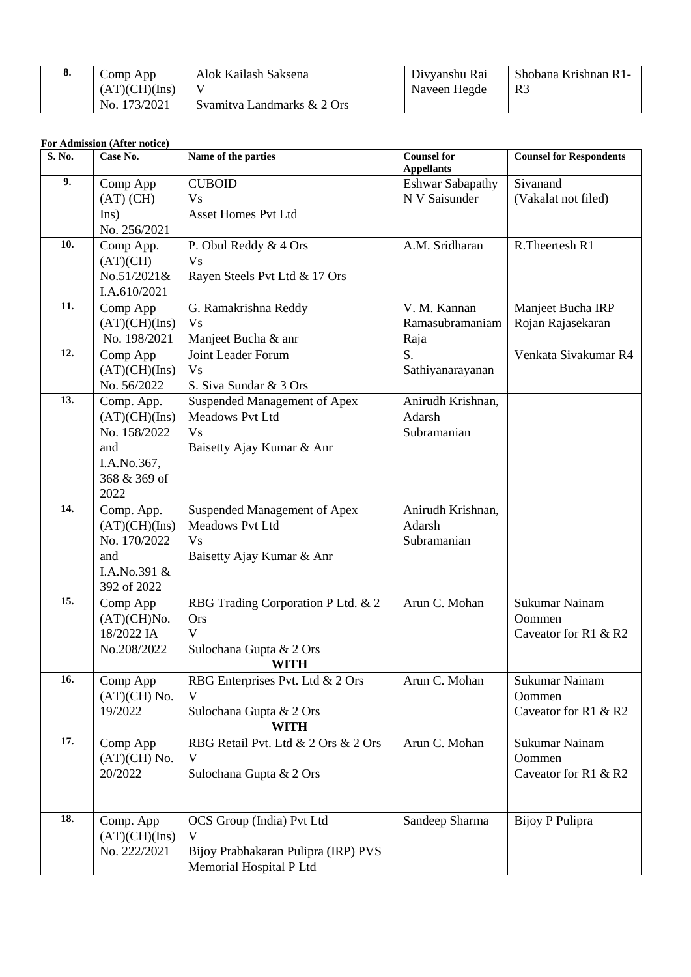| о. | Comp App      | Alok Kailash Saksena       | Divyanshu Rai | Shobana Krishnan R1- |
|----|---------------|----------------------------|---------------|----------------------|
|    | (AT)(CH)(Ins) |                            | Naveen Hegde  | R <sub>3</sub>       |
|    | No. 173/2021  | Svamitya Landmarks & 2 Ors |               |                      |

## **For Admission (After notice)**

| S. No. | Case No.                                                                                  | Name of the parties                                                                              | <b>Counsel for</b><br><b>Appellants</b>    | <b>Counsel for Respondents</b>                   |
|--------|-------------------------------------------------------------------------------------------|--------------------------------------------------------------------------------------------------|--------------------------------------------|--------------------------------------------------|
| 9.     | Comp App<br>$(AT)$ $(CH)$<br>Ins)<br>No. 256/2021                                         | <b>CUBOID</b><br><b>Vs</b><br><b>Asset Homes Pvt Ltd</b>                                         | <b>Eshwar Sabapathy</b><br>N V Saisunder   | Sivanand<br>(Vakalat not filed)                  |
| 10.    | Comp App.<br>(AT)(CH)<br>No.51/2021&<br>I.A.610/2021                                      | P. Obul Reddy & 4 Ors<br><b>Vs</b><br>Rayen Steels Pvt Ltd & 17 Ors                              | A.M. Sridharan                             | R.Theertesh R1                                   |
| 11.    | Comp App<br>(AT)(CH)(Ins)<br>No. 198/2021                                                 | G. Ramakrishna Reddy<br><b>Vs</b><br>Manjeet Bucha & anr                                         | V. M. Kannan<br>Ramasubramaniam<br>Raja    | Manjeet Bucha IRP<br>Rojan Rajasekaran           |
| 12.    | Comp App<br>(AT)(CH)(Ins)<br>No. 56/2022                                                  | Joint Leader Forum<br><b>Vs</b><br>S. Siva Sundar & 3 Ors                                        | S.<br>Sathiyanarayanan                     | Venkata Sivakumar R4                             |
| 13.    | Comp. App.<br>(AT)(CH)(Ins)<br>No. 158/2022<br>and<br>I.A.No.367,<br>368 & 369 of<br>2022 | Suspended Management of Apex<br>Meadows Pvt Ltd<br><b>Vs</b><br>Baisetty Ajay Kumar & Anr        | Anirudh Krishnan,<br>Adarsh<br>Subramanian |                                                  |
| 14.    | Comp. App.<br>(AT)(CH)(Ins)<br>No. 170/2022<br>and<br>I.A.No.391 &<br>392 of 2022         | Suspended Management of Apex<br>Meadows Pvt Ltd<br><b>Vs</b><br>Baisetty Ajay Kumar & Anr        | Anirudh Krishnan,<br>Adarsh<br>Subramanian |                                                  |
| 15.    | Comp App<br>(AT)(CH)No.<br>18/2022 IA<br>No.208/2022                                      | RBG Trading Corporation P Ltd. & 2<br><b>Ors</b><br>V<br>Sulochana Gupta & 2 Ors<br><b>WITH</b>  | Arun C. Mohan                              | Sukumar Nainam<br>Oommen<br>Caveator for R1 & R2 |
| 16.    | Comp App<br>$(AT)(CH)$ No.<br>19/2022                                                     | RBG Enterprises Pvt. Ltd & 2 Ors<br>V<br>Sulochana Gupta & 2 Ors<br><b>WITH</b>                  | Arun C. Mohan                              | Sukumar Nainam<br>Oommen<br>Caveator for R1 & R2 |
| 17.    | Comp App<br>$(AT)(CH)$ No.<br>20/2022                                                     | RBG Retail Pvt. Ltd & 2 Ors & 2 Ors<br>V<br>Sulochana Gupta & 2 Ors                              | Arun C. Mohan                              | Sukumar Nainam<br>Oommen<br>Caveator for R1 & R2 |
| 18.    | Comp. App<br>(AT)(CH)(Ins)<br>No. 222/2021                                                | OCS Group (India) Pvt Ltd<br>V<br>Bijoy Prabhakaran Pulipra (IRP) PVS<br>Memorial Hospital P Ltd | Sandeep Sharma                             | Bijoy P Pulipra                                  |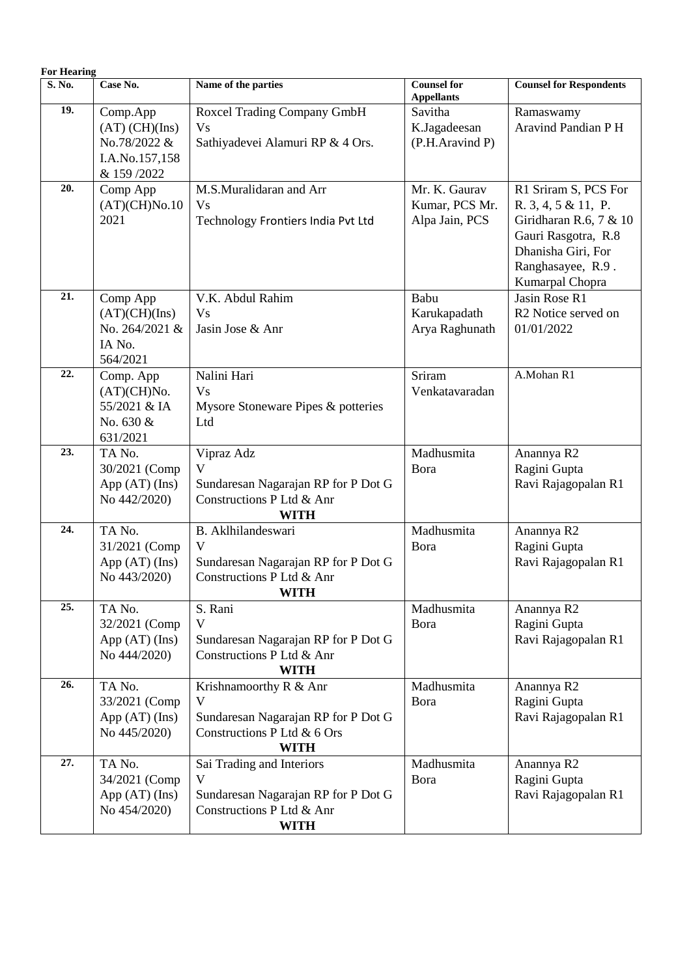| <b>For Hearing</b> |                                                                                 |                                                                                                                   |                                                   |                                                                                                                                                              |
|--------------------|---------------------------------------------------------------------------------|-------------------------------------------------------------------------------------------------------------------|---------------------------------------------------|--------------------------------------------------------------------------------------------------------------------------------------------------------------|
| S. No.             | Case No.                                                                        | Name of the parties                                                                                               | <b>Counsel for</b><br><b>Appellants</b>           | <b>Counsel for Respondents</b>                                                                                                                               |
| 19.                | Comp.App<br>$(AT)$ $(CH)(Ins)$<br>No.78/2022 &<br>I.A.No.157,158<br>& 159 /2022 | Roxcel Trading Company GmbH<br><b>Vs</b><br>Sathiyadevei Alamuri RP & 4 Ors.                                      | Savitha<br>K.Jagadeesan<br>(P.H.Aravind P)        | Ramaswamy<br>Aravind Pandian P H                                                                                                                             |
| 20.                | Comp App<br>(AT)(CH)No.10<br>2021                                               | M.S.Muralidaran and Arr<br><b>Vs</b><br>Technology Frontiers India Pvt Ltd                                        | Mr. K. Gaurav<br>Kumar, PCS Mr.<br>Alpa Jain, PCS | R1 Sriram S, PCS For<br>R. 3, 4, 5 & 11, P.<br>Giridharan R.6, 7 & $10$<br>Gauri Rasgotra, R.8<br>Dhanisha Giri, For<br>Ranghasayee, R.9.<br>Kumarpal Chopra |
| $\overline{21}$ .  | Comp App<br>(AT)(CH)(Ins)<br>No. 264/2021 &<br>IA No.<br>564/2021               | V.K. Abdul Rahim<br><b>Vs</b><br>Jasin Jose & Anr                                                                 | Babu<br>Karukapadath<br>Arya Raghunath            | Jasin Rose R1<br>R <sub>2</sub> Notice served on<br>01/01/2022                                                                                               |
| 22.                | Comp. App<br>(AT)(CH)No.<br>55/2021 & IA<br>No. 630 &<br>631/2021               | Nalini Hari<br><b>Vs</b><br>Mysore Stoneware Pipes & potteries<br>Ltd                                             | Sriram<br>Venkatavaradan                          | A.Mohan R1                                                                                                                                                   |
| 23.                | TA No.<br>30/2021 (Comp<br>App $(AT)$ (Ins)<br>No 442/2020)                     | Vipraz Adz<br>V<br>Sundaresan Nagarajan RP for P Dot G<br>Constructions P Ltd & Anr<br><b>WITH</b>                | Madhusmita<br>Bora                                | Anannya R2<br>Ragini Gupta<br>Ravi Rajagopalan R1                                                                                                            |
| 24.                | TA No.<br>31/2021 (Comp<br>App $(AT)$ (Ins)<br>No 443/2020)                     | B. Aklhilandeswari<br>V<br>Sundaresan Nagarajan RP for P Dot G<br>Constructions P Ltd & Anr<br><b>WITH</b>        | Madhusmita<br>Bora                                | Anannya R2<br>Ragini Gupta<br>Ravi Rajagopalan R1                                                                                                            |
| 25.                | TA No.<br>32/2021 (Comp<br>App $(AT)$ (Ins)<br>No 444/2020)                     | S. Rani<br>$\mathbf{V}$<br>Sundaresan Nagarajan RP for P Dot G<br>Constructions P Ltd & Anr<br><b>WITH</b>        | Madhusmita<br>Bora                                | Anannya R2<br>Ragini Gupta<br>Ravi Rajagopalan R1                                                                                                            |
| 26.                | TA No.<br>33/2021 (Comp<br>App $(AT)$ (Ins)<br>No 445/2020)                     | Krishnamoorthy R & Anr<br>V<br>Sundaresan Nagarajan RP for P Dot G<br>Constructions P Ltd & 6 Ors<br><b>WITH</b>  | Madhusmita<br>Bora                                | Anannya R2<br>Ragini Gupta<br>Ravi Rajagopalan R1                                                                                                            |
| $\overline{27}$ .  | TA No.<br>34/2021 (Comp<br>App $(AT)$ (Ins)<br>No 454/2020)                     | Sai Trading and Interiors<br>V<br>Sundaresan Nagarajan RP for P Dot G<br>Constructions P Ltd & Anr<br><b>WITH</b> | Madhusmita<br>Bora                                | Anannya R2<br>Ragini Gupta<br>Ravi Rajagopalan R1                                                                                                            |